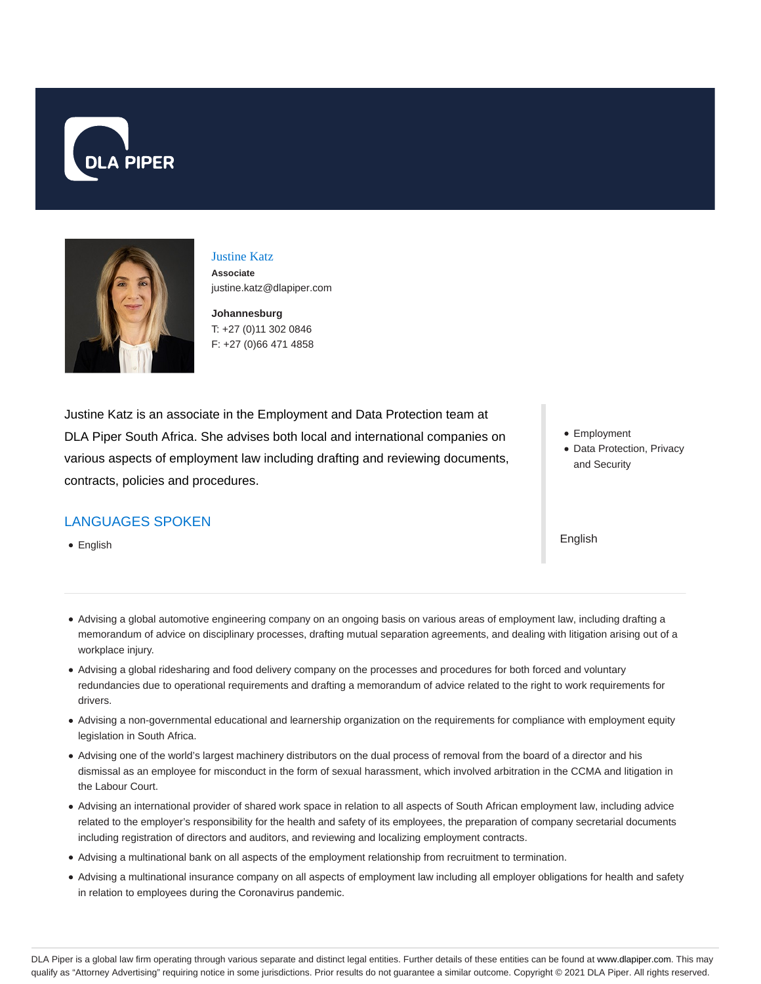



### Justine Katz

**Associate** justine.katz@dlapiper.com

**Johannesburg** T: +27 (0)11 302 0846 F: +27 (0)66 471 4858

Justine Katz is an associate in the Employment and Data Protection team at DLA Piper South Africa. She advises both local and international companies on various aspects of employment law including drafting and reviewing documents, contracts, policies and procedures.

# LANGUAGES SPOKEN

• English

- Employment
- Data Protection, Privacy and Security

English

- Advising a global automotive engineering company on an ongoing basis on various areas of employment law, including drafting a memorandum of advice on disciplinary processes, drafting mutual separation agreements, and dealing with litigation arising out of a workplace injury.
- Advising a global ridesharing and food delivery company on the processes and procedures for both forced and voluntary redundancies due to operational requirements and drafting a memorandum of advice related to the right to work requirements for drivers.
- Advising a non-governmental educational and learnership organization on the requirements for compliance with employment equity legislation in South Africa.
- Advising one of the world's largest machinery distributors on the dual process of removal from the board of a director and his dismissal as an employee for misconduct in the form of sexual harassment, which involved arbitration in the CCMA and litigation in the Labour Court.
- Advising an international provider of shared work space in relation to all aspects of South African employment law, including advice related to the employer's responsibility for the health and safety of its employees, the preparation of company secretarial documents including registration of directors and auditors, and reviewing and localizing employment contracts.
- Advising a multinational bank on all aspects of the employment relationship from recruitment to termination.
- Advising a multinational insurance company on all aspects of employment law including all employer obligations for health and safety in relation to employees during the Coronavirus pandemic.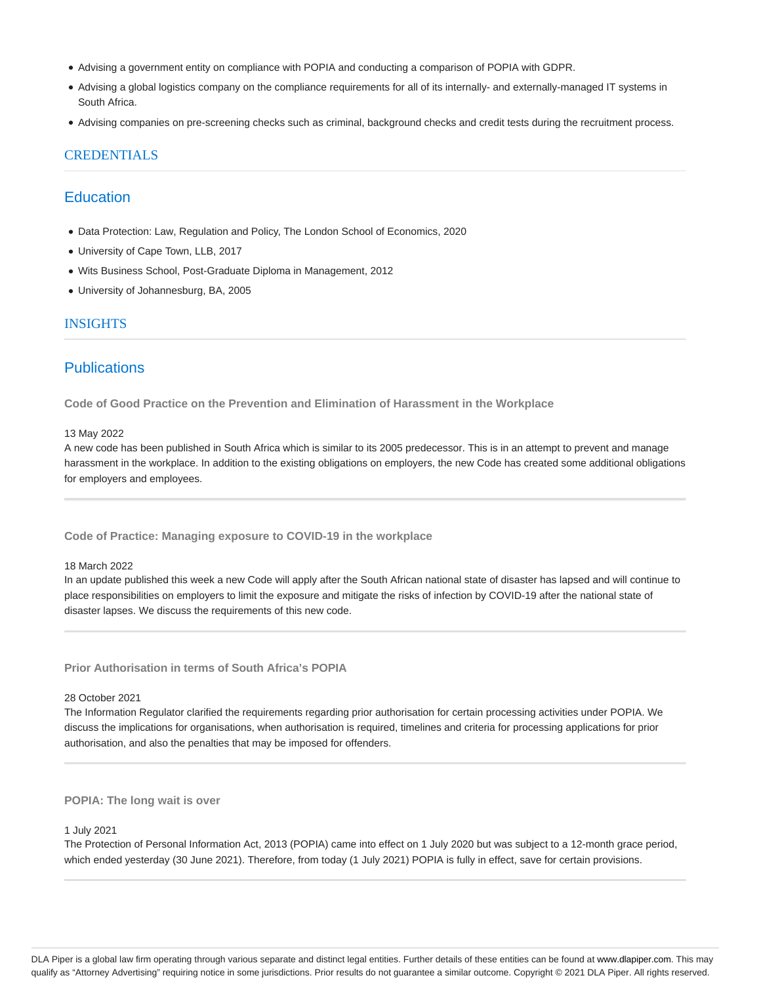- Advising a government entity on compliance with POPIA and conducting a comparison of POPIA with GDPR.
- Advising a global logistics company on the compliance requirements for all of its internally- and externally-managed IT systems in South Africa.
- Advising companies on pre-screening checks such as criminal, background checks and credit tests during the recruitment process.

## CREDENTIALS

# **Education**

- Data Protection: Law, Regulation and Policy, The London School of Economics, 2020
- University of Cape Town, LLB, 2017
- Wits Business School, Post-Graduate Diploma in Management, 2012
- University of Johannesburg, BA, 2005

## INSIGHTS

# **Publications**

**Code of Good Practice on the Prevention and Elimination of Harassment in the Workplace**

#### 13 May 2022

A new code has been published in South Africa which is similar to its 2005 predecessor. This is in an attempt to prevent and manage harassment in the workplace. In addition to the existing obligations on employers, the new Code has created some additional obligations for employers and employees.

**Code of Practice: Managing exposure to COVID-19 in the workplace**

### 18 March 2022

In an update published this week a new Code will apply after the South African national state of disaster has lapsed and will continue to place responsibilities on employers to limit the exposure and mitigate the risks of infection by COVID-19 after the national state of disaster lapses. We discuss the requirements of this new code.

**Prior Authorisation in terms of South Africa's POPIA**

#### 28 October 2021

The Information Regulator clarified the requirements regarding prior authorisation for certain processing activities under POPIA. We discuss the implications for organisations, when authorisation is required, timelines and criteria for processing applications for prior authorisation, and also the penalties that may be imposed for offenders.

### **POPIA: The long wait is over**

#### 1 July 2021

The Protection of Personal Information Act, 2013 (POPIA) came into effect on 1 July 2020 but was subject to a 12-month grace period, which ended yesterday (30 June 2021). Therefore, from today (1 July 2021) POPIA is fully in effect, save for certain provisions.

DLA Piper is a global law firm operating through various separate and distinct legal entities. Further details of these entities can be found at www.dlapiper.com. This may qualify as "Attorney Advertising" requiring notice in some jurisdictions. Prior results do not guarantee a similar outcome. Copyright @ 2021 DLA Piper. All rights reserved.